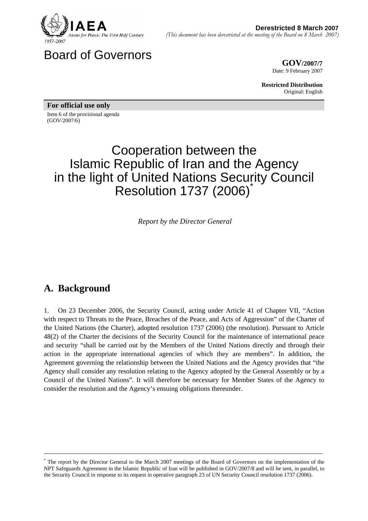

Board of Governors

**COV/2007/7**<br> **GOV/2007/7** Date: 9 February 2007

> **Restricted Distribution** Original: English

**For official use only**  Item 6 of the provisional agenda (GOV/2007/6)

# Cooperation between the Islamic Republic of Iran and the Agency in the light of United Nations Security Council **Resolution 1737 (2006)**

*Report by the Director General* 

# **A. Background**

1. On 23 December 2006, the Security Council, acting under Article 41 of Chapter VII, "Action with respect to Threats to the Peace, Breaches of the Peace, and Acts of Aggression" of the Charter of the United Nations (the Charter), adopted resolution 1737 (2006) (the resolution). Pursuant to Article 48(2) of the Charter the decisions of the Security Council for the maintenance of international peace and security "shall be carried out by the Members of the United Nations directly and through their action in the appropriate international agencies of which they are members". In addition, the Agreement governing the relationship between the United Nations and the Agency provides that "the Agency shall consider any resolution relating to the Agency adopted by the General Assembly or by a Council of the United Nations". It will therefore be necessary for Member States of the Agency to consider the resolution and the Agency's ensuing obligations thereunder.

<sup>\*</sup> The report by the Director General to the March 2007 meetings of the Board of Governors on the implementation of the NPT Safeguards Agreement in the Islamic Republic of Iran will be published in GOV/2007/8 and will be sent, in parallel, to the Security Council in response to its request in operative paragraph 23 of UN Security Council resolution 1737 (2006).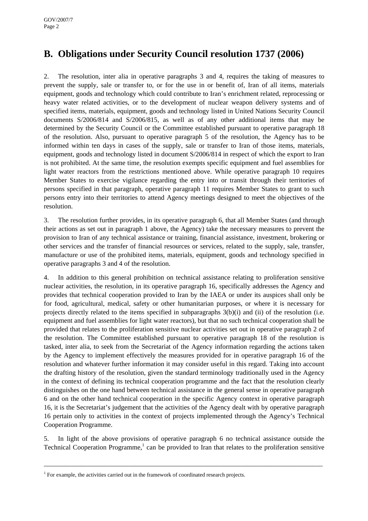# **B. Obligations under Security Council resolution 1737 (2006)**

2. The resolution, inter alia in operative paragraphs 3 and 4, requires the taking of measures to prevent the supply, sale or transfer to, or for the use in or benefit of, Iran of all items, materials equipment, goods and technology which could contribute to Iran's enrichment related, reprocessing or heavy water related activities, or to the development of nuclear weapon delivery systems and of specified items, materials, equipment, goods and technology listed in United Nations Security Council documents S/2006/814 and S/2006/815, as well as of any other additional items that may be determined by the Security Council or the Committee established pursuant to operative paragraph 18 of the resolution. Also, pursuant to operative paragraph 5 of the resolution, the Agency has to be informed within ten days in cases of the supply, sale or transfer to Iran of those items, materials, equipment, goods and technology listed in document S/2006/814 in respect of which the export to Iran is not prohibited. At the same time, the resolution exempts specific equipment and fuel assemblies for light water reactors from the restrictions mentioned above. While operative paragraph 10 requires Member States to exercise vigilance regarding the entry into or transit through their territories of persons specified in that paragraph, operative paragraph 11 requires Member States to grant to such persons entry into their territories to attend Agency meetings designed to meet the objectives of the resolution.

3. The resolution further provides, in its operative paragraph 6, that all Member States (and through their actions as set out in paragraph 1 above, the Agency) take the necessary measures to prevent the provision to Iran of any technical assistance or training, financial assistance, investment, brokering or other services and the transfer of financial resources or services, related to the supply, sale, transfer, manufacture or use of the prohibited items, materials, equipment, goods and technology specified in operative paragraphs 3 and 4 of the resolution.

4. In addition to this general prohibition on technical assistance relating to proliferation sensitive nuclear activities, the resolution, in its operative paragraph 16, specifically addresses the Agency and provides that technical cooperation provided to Iran by the IAEA or under its auspices shall only be for food, agricultural, medical, safety or other humanitarian purposes, or where it is necessary for projects directly related to the items specified in subparagraphs 3(b)(i) and (ii) of the resolution (i.e. equipment and fuel assemblies for light water reactors), but that no such technical cooperation shall be provided that relates to the proliferation sensitive nuclear activities set out in operative paragraph 2 of the resolution. The Committee established pursuant to operative paragraph 18 of the resolution is tasked, inter alia, to seek from the Secretariat of the Agency information regarding the actions taken by the Agency to implement effectively the measures provided for in operative paragraph 16 of the resolution and whatever further information it may consider useful in this regard. Taking into account the drafting history of the resolution, given the standard terminology traditionally used in the Agency in the context of defining its technical cooperation programme and the fact that the resolution clearly distinguishes on the one hand between technical assistance in the general sense in operative paragraph 6 and on the other hand technical cooperation in the specific Agency context in operative paragraph 16, it is the Secretariat's judgement that the activities of the Agency dealt with by operative paragraph 16 pertain only to activities in the context of projects implemented through the Agency's Technical Cooperation Programme.

5. In light of the above provisions of operative paragraph 6 no technical assistance outside the Technical Cooperation Programme,<sup>1</sup> can be provided to Iran that relates to the proliferation sensitive

 $<sup>1</sup>$  For example, the activities carried out in the framework of coordinated research projects.</sup>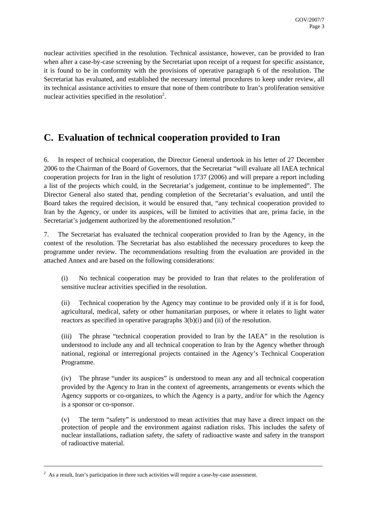nuclear activities specified in the resolution. Technical assistance, however, can be provided to Iran when after a case-by-case screening by the Secretariat upon receipt of a request for specific assistance, it is found to be in conformity with the provisions of operative paragraph 6 of the resolution. The Secretariat has evaluated, and established the necessary internal procedures to keep under review, all its technical assistance activities to ensure that none of them contribute to Iran's proliferation sensitive nuclear activities specified in the resolution<sup>2</sup>.

### **C. Evaluation of technical cooperation provided to Iran**

6. In respect of technical cooperation, the Director General undertook in his letter of 27 December 2006 to the Chairman of the Board of Governors, that the Secretariat "will evaluate all IAEA technical cooperation projects for Iran in the light of resolution 1737 (2006) and will prepare a report including a list of the projects which could, in the Secretariat's judgement, continue to be implemented". The Director General also stated that, pending completion of the Secretariat's evaluation, and until the Board takes the required decision, it would be ensured that, "any technical cooperation provided to Iran by the Agency, or under its auspices, will be limited to activities that are, prima facie, in the Secretariat's judgement authorized by the aforementioned resolution."

7. The Secretariat has evaluated the technical cooperation provided to Iran by the Agency, in the context of the resolution. The Secretariat has also established the necessary procedures to keep the programme under review. The recommendations resulting from the evaluation are provided in the attached Annex and are based on the following considerations:

(i) No technical cooperation may be provided to Iran that relates to the proliferation of sensitive nuclear activities specified in the resolution.

(ii) Technical cooperation by the Agency may continue to be provided only if it is for food, agricultural, medical, safety or other humanitarian purposes, or where it relates to light water reactors as specified in operative paragraphs 3(b)(i) and (ii) of the resolution.

(iii) The phrase "technical cooperation provided to Iran by the IAEA" in the resolution is understood to include any and all technical cooperation to Iran by the Agency whether through national, regional or interregional projects contained in the Agency's Technical Cooperation Programme.

(iv) The phrase "under its auspices" is understood to mean any and all technical cooperation provided by the Agency to Iran in the context of agreements, arrangements or events which the Agency supports or co-organizes, to which the Agency is a party, and/or for which the Agency is a sponsor or co-sponsor.

(v) The term "safety" is understood to mean activities that may have a direct impact on the protection of people and the environment against radiation risks. This includes the safety of nuclear installations, radiation safety, the safety of radioactive waste and safety in the transport of radioactive material.

 $2$  As a result, Iran's participation in three such activities will require a case-by-case assessment.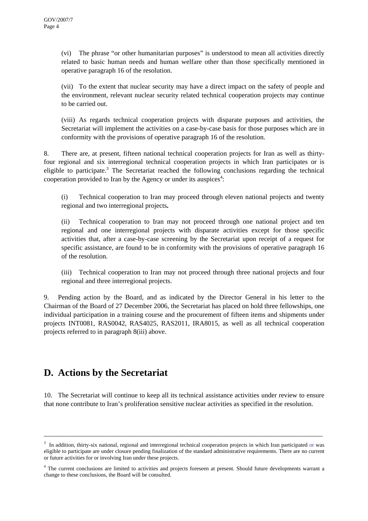(vi) The phrase "or other humanitarian purposes" is understood to mean all activities directly related to basic human needs and human welfare other than those specifically mentioned in operative paragraph 16 of the resolution.

(vii) To the extent that nuclear security may have a direct impact on the safety of people and the environment, relevant nuclear security related technical cooperation projects may continue to be carried out.

(viii) As regards technical cooperation projects with disparate purposes and activities, the Secretariat will implement the activities on a case-by-case basis for those purposes which are in conformity with the provisions of operative paragraph 16 of the resolution.

8. There are, at present, fifteen national technical cooperation projects for Iran as well as thirtyfour regional and six interregional technical cooperation projects in which Iran participates or is eligible to participate.<sup>3</sup> The Secretariat reached the following conclusions regarding the technical cooperation provided to Iran by the Agency or under its auspices<sup>4</sup>:

(i) Technical cooperation to Iran may proceed through eleven national projects and twenty regional and two interregional projects**.**

(ii) Technical cooperation to Iran may not proceed through one national project and ten regional and one interregional projects with disparate activities except for those specific activities that, after a case-by-case screening by the Secretariat upon receipt of a request for specific assistance, are found to be in conformity with the provisions of operative paragraph 16 of the resolution.

(iii) Technical cooperation to Iran may not proceed through three national projects and four regional and three interregional projects.

9. Pending action by the Board, and as indicated by the Director General in his letter to the Chairman of the Board of 27 December 2006, the Secretariat has placed on hold three fellowships, one individual participation in a training course and the procurement of fifteen items and shipments under projects INT0081, RAS0042, RAS4025, RAS2011, IRA8015, as well as all technical cooperation projects referred to in paragraph 8(iii) above.

# **D. Actions by the Secretariat**

10. The Secretariat will continue to keep all its technical assistance activities under review to ensure that none contribute to Iran's proliferation sensitive nuclear activities as specified in the resolution.

<sup>3</sup> In addition, thirty-six national, regional and interregional technical cooperation projects in which Iran participated or was eligible to participate are under closure pending finalization of the standard administrative requirements. There are no current or future activities for or involving Iran under these projects.

<sup>&</sup>lt;sup>4</sup> The current conclusions are limited to activities and projects foreseen at present. Should future developments warrant a change to these conclusions, the Board will be consulted.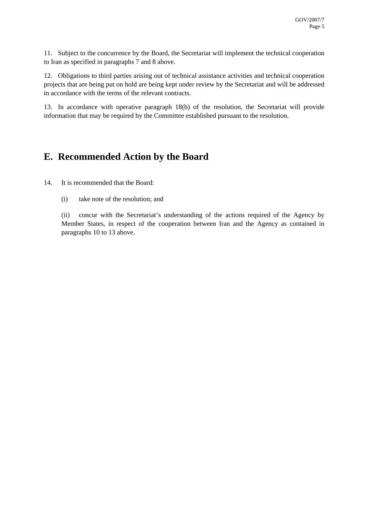11. Subject to the concurrence by the Board, the Secretariat will implement the technical cooperation to Iran as specified in paragraphs 7 and 8 above.

12. Obligations to third parties arising out of technical assistance activities and technical cooperation projects that are being put on hold are being kept under review by the Secretariat and will be addressed in accordance with the terms of the relevant contracts.

13. In accordance with operative paragraph 18(b) of the resolution, the Secretariat will provide information that may be required by the Committee established pursuant to the resolution.

### **E. Recommended Action by the Board**

14. It is recommended that the Board:

(i) take note of the resolution; and

(ii) concur with the Secretariat's understanding of the actions required of the Agency by Member States, in respect of the cooperation between Iran and the Agency as contained in paragraphs 10 to 13 above.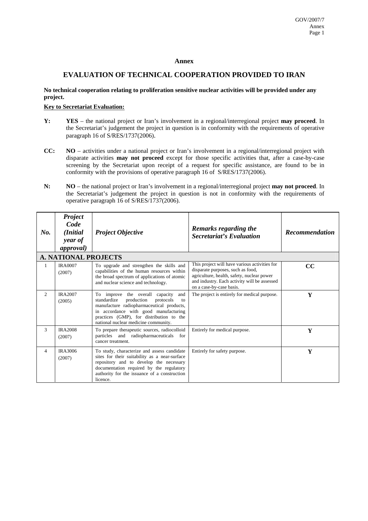#### **Annex**

### **EVALUATION OF TECHNICAL COOPERATION PROVIDED TO IRAN**

### **No technical cooperation relating to proliferation sensitive nuclear activities will be provided under any project.**

#### **Key to Secretariat Evaluation:**

- **Y: YES**  the national project or Iran's involvement in a regional/interregional project **may proceed**. In the Secretariat's judgement the project in question is in conformity with the requirements of operative paragraph 16 of S/RES/1737(2006).
- **CC: NO** activities under a national project or Iran's involvement in a regional/interregional project with disparate activities **may not proceed** except for those specific activities that, after a case-by-case screening by the Secretariat upon receipt of a request for specific assistance, are found to be in conformity with the provisions of operative paragraph 16 of S/RES/1737(2006).
- **N: NO** the national project or Iran's involvement in a regional/interregional project **may not proceed**. In the Secretariat's judgement the project in question is not in conformity with the requirements of operative paragraph 16 of S/RES/1737(2006).

| $N_{0}$ .      | Project<br>Code<br>(Initial<br>year of<br><i>approval</i> ) | <b>Project Objective</b>                                                                                                                                                                                                                                         | <b>Remarks regarding the</b><br><b>Secretariat's Evaluation</b>                                                                                                                                              | <b>Recommendation</b> |
|----------------|-------------------------------------------------------------|------------------------------------------------------------------------------------------------------------------------------------------------------------------------------------------------------------------------------------------------------------------|--------------------------------------------------------------------------------------------------------------------------------------------------------------------------------------------------------------|-----------------------|
|                | <b>A. NATIONAL PROJECTS</b>                                 |                                                                                                                                                                                                                                                                  |                                                                                                                                                                                                              |                       |
| $\mathbf{1}$   | <b>IRA0007</b><br>(2007)                                    | To upgrade and strengthen the skills and<br>capabilities of the human resources within<br>the broad spectrum of applications of atomic<br>and nuclear science and technology.                                                                                    | This project will have various activities for<br>disparate purposes, such as food,<br>agriculture, health, safety, nuclear power<br>and industry. Each activity will be assessed<br>on a case-by-case basis. | cc                    |
| 2              | <b>IRA2007</b><br>(2005)                                    | To improve the overall capacity<br>and<br>standardize<br>production<br>protocols<br>to<br>manufacture radiopharmaceutical products,<br>in accordance with good manufacturing<br>practices (GMP), for distribution to the<br>national nuclear medicine community. | The project is entirely for medical purpose.                                                                                                                                                                 | Y                     |
| 3              | <b>IRA2008</b><br>(2007)                                    | To prepare therapeutic sources, radiocolloid<br>particles and radiopharmaceuticals<br>for<br>cancer treatment.                                                                                                                                                   | Entirely for medical purpose.                                                                                                                                                                                | Y                     |
| $\overline{4}$ | <b>IRA3006</b><br>(2007)                                    | To study, characterize and assess candidate<br>sites for their suitability as a near-surface<br>repository and to develop the necessary<br>documentation required by the regulatory<br>authority for the issuance of a construction<br>licence.                  | Entirely for safety purpose.                                                                                                                                                                                 | Y                     |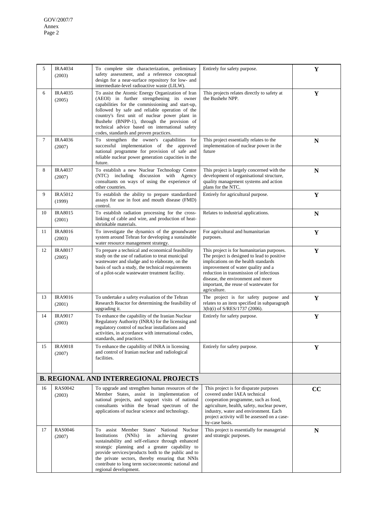| 5  | <b>IRA4034</b><br>(2003)                      | To complete site characterization, preliminary<br>safety assessment, and a reference conceptual<br>design for a near-surface repository for low- and<br>intermediate-level radioactive waste (LILW).                                                                                                                                                                                                       | Entirely for safety purpose.                                                                                                                                                                                                                                                                                      | Y           |  |
|----|-----------------------------------------------|------------------------------------------------------------------------------------------------------------------------------------------------------------------------------------------------------------------------------------------------------------------------------------------------------------------------------------------------------------------------------------------------------------|-------------------------------------------------------------------------------------------------------------------------------------------------------------------------------------------------------------------------------------------------------------------------------------------------------------------|-------------|--|
| 6  | <b>IRA4035</b><br>(2005)                      | To assist the Atomic Energy Organization of Iran<br>(AEOI) in further strengthening its owner<br>capabilities for the commissioning and start-up,<br>followed by safe and reliable operation of the<br>country's first unit of nuclear power plant in<br>Bushehr (BNPP-1), through the provision of<br>technical advice based on international safety<br>codes, standards and proven practices.            | This projects relates directly to safety at<br>the Bushehr NPP.                                                                                                                                                                                                                                                   | Y           |  |
| 7  | <b>IRA4036</b><br>(2007)                      | To strengthen the owner's capabilities for<br>successful implementation of the approved<br>national programme for provision of safe and<br>reliable nuclear power generation capacities in the<br>future.                                                                                                                                                                                                  | This project essentially relates to the<br>implementation of nuclear power in the<br>future                                                                                                                                                                                                                       | N           |  |
| 8  | <b>IRA4037</b><br>(2007)                      | To establish a new Nuclear Technology Centre<br>(NTC) including discussion with Agency<br>consultants on ways of using the experience of<br>other countries.                                                                                                                                                                                                                                               | This project is largely concerned with the<br>development of organisational structure,<br>quality management systems and action<br>plans for the NTC.                                                                                                                                                             | ${\bf N}$   |  |
| 9  | <b>IRA5012</b><br>(1999)                      | To establish the ability to prepare standardized<br>assays for use in foot and mouth disease (FMD)<br>control.                                                                                                                                                                                                                                                                                             | Entirely for agricultural purpose.                                                                                                                                                                                                                                                                                | Y           |  |
| 10 | <b>IRA8015</b><br>(2001)                      | To establish radiation processing for the cross-<br>linking of cable and wire, and production of heat-<br>shrinkable materials.                                                                                                                                                                                                                                                                            | Relates to industrial applications.                                                                                                                                                                                                                                                                               | N           |  |
| 11 | <b>IRA8016</b><br>(2003)                      | To investigate the dynamics of the groundwater<br>system around Tehran for developing a sustainable<br>water resource management strategy.                                                                                                                                                                                                                                                                 | For agricultural and humanitarian<br>purposes.                                                                                                                                                                                                                                                                    | Y           |  |
| 12 | <b>IRA8017</b><br>(2005)                      | To prepare a technical and economical feasibility<br>study on the use of radiation to treat municipal<br>wastewater and sludge and to elaborate, on the<br>basis of such a study, the technical requirements<br>of a pilot-scale wastewater treatment facility.                                                                                                                                            | This project is for humanitarian purposes.<br>The project is designed to lead to positive<br>implications on the health standards<br>improvement of water quality and a<br>reduction in transmission of infectious<br>disease, the environment and more<br>important, the reuse of wastewater for<br>agriculture. | Y           |  |
| 13 | <b>IRA9016</b><br>(2001)                      | To undertake a safety evaluation of the Tehran<br>Research Reactor for determining the feasibility of<br>upgrading it.                                                                                                                                                                                                                                                                                     | The project is for safety purpose and<br>relates to an item specified in subparagraph<br>3(b)(i) of S/RES/1737 (2006).                                                                                                                                                                                            | $\mathbf Y$ |  |
| 14 | <b>IRA9017</b><br>(2003)                      | To enhance the capability of the Iranian Nuclear<br>Regulatory Authority (INRA) for the licensing and<br>regulatory control of nuclear installations and<br>activities, in accordance with international codes,<br>standards, and practices.                                                                                                                                                               | Entirely for safety purpose.                                                                                                                                                                                                                                                                                      | Y           |  |
| 15 | <b>IRA9018</b><br>(2007)                      | To enhance the capability of INRA in licensing<br>and control of Iranian nuclear and radiological<br>facilities.                                                                                                                                                                                                                                                                                           | Entirely for safety purpose.                                                                                                                                                                                                                                                                                      | Y           |  |
|    | <b>B. REGIONAL AND INTERREGIONAL PROJECTS</b> |                                                                                                                                                                                                                                                                                                                                                                                                            |                                                                                                                                                                                                                                                                                                                   |             |  |
| 16 | <b>RAS0042</b><br>(2003)                      | To upgrade and strengthen human resources of the<br>Member States, assist in implementation of<br>national projects, and support visits of national<br>consultants within the broad spectrum of the<br>applications of nuclear science and technology.                                                                                                                                                     | This project is for disparate purposes<br>covered under IAEA technical<br>cooperation programme, such as food,<br>agriculture, health, safety, nuclear power,<br>industry, water and environment. Each<br>project activity will be assessed on a case-<br>by-case basis.                                          | CC          |  |
| 17 | <b>RAS0046</b><br>(2007)                      | States'<br>National<br>Nuclear<br>To assist Member<br>Institutions<br>(NNIs)<br>in<br>achieving<br>greater<br>sustainability and self-reliance through enhanced<br>strategic planning and a greater capability to<br>provide services/products both to the public and to<br>the private sectors, thereby ensuring that NNIs<br>contribute to long term socioeconomic national and<br>regional development. | This project is essentially for managerial<br>and strategic purposes.                                                                                                                                                                                                                                             | ${\bf N}$   |  |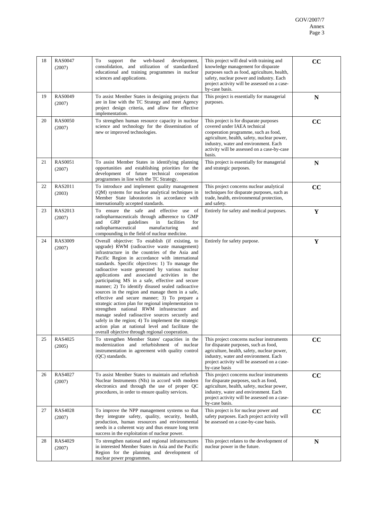| 18 | <b>RAS0047</b><br>(2007) | web-based<br>development,<br>To<br>support<br>the<br>consolidation, and utilization of standardized<br>educational and training programmes in nuclear<br>sciences and applications.                                                                                                                                                                                                                                                                                                                                                                                                                                                                                                                                                                                                                                                                                                             | This project will deal with training and<br>knowledge management for disparate<br>purposes such as food, agriculture, health,<br>safety, nuclear power and industry. Each<br>project activity will be assessed on a case-<br>by-case basis.                     | CC          |
|----|--------------------------|-------------------------------------------------------------------------------------------------------------------------------------------------------------------------------------------------------------------------------------------------------------------------------------------------------------------------------------------------------------------------------------------------------------------------------------------------------------------------------------------------------------------------------------------------------------------------------------------------------------------------------------------------------------------------------------------------------------------------------------------------------------------------------------------------------------------------------------------------------------------------------------------------|-----------------------------------------------------------------------------------------------------------------------------------------------------------------------------------------------------------------------------------------------------------------|-------------|
| 19 | <b>RAS0049</b><br>(2007) | To assist Member States in designing projects that<br>are in line with the TC Strategy and meet Agency<br>project design criteria, and allow for effective<br>implementation.                                                                                                                                                                                                                                                                                                                                                                                                                                                                                                                                                                                                                                                                                                                   | This project is essentially for managerial<br>purposes.                                                                                                                                                                                                         | ${\bf N}$   |
| 20 | <b>RAS0050</b><br>(2007) | To strengthen human resource capacity in nuclear<br>science and technology for the dissemination of<br>new or improved technologies.                                                                                                                                                                                                                                                                                                                                                                                                                                                                                                                                                                                                                                                                                                                                                            | This project is for disparate purposes<br>covered under IAEA technical<br>cooperation programme, such as food,<br>agriculture, health, safety, nuclear power,<br>industry, water and environment. Each<br>activity will be assessed on a case-by-case<br>basis. | CC          |
| 21 | <b>RAS0051</b><br>(2007) | To assist Member States in identifying planning<br>opportunities and establishing priorities for the<br>development of future technical cooperation<br>programmes in line with the TC Strategy.                                                                                                                                                                                                                                                                                                                                                                                                                                                                                                                                                                                                                                                                                                 | This project is essentially for managerial<br>and strategic purposes.                                                                                                                                                                                           | $\mathbf N$ |
| 22 | RAS2011<br>(2003)        | To introduce and implement quality management<br>(QM) systems for nuclear analytical techniques in<br>Member State laboratories in accordance with<br>internationally accepted standards.                                                                                                                                                                                                                                                                                                                                                                                                                                                                                                                                                                                                                                                                                                       | This project concerns nuclear analytical<br>techniques for disparate purposes, such as<br>trade, health, environmental protection,<br>and safety.                                                                                                               | CC          |
| 23 | RAS2013<br>(2007)        | ensure the safe and effective use of<br>To<br>radiopharmaceuticals through adherence to GMP<br>and<br>GRP<br>guidelines<br>in<br>facilities<br>for<br>radiopharmaceutical<br>manufacturing<br>and<br>compounding in the field of nuclear medicine.                                                                                                                                                                                                                                                                                                                                                                                                                                                                                                                                                                                                                                              | Entirely for safety and medical purposes.                                                                                                                                                                                                                       | Y           |
| 24 | <b>RAS3009</b><br>(2007) | Overall objective: To establish (if existing, to<br>upgrade) RWM (radioactive waste management)<br>infrastructure in the countries of the Asia and<br>Pacific Region in accordance with international<br>standards. Specific objectives: 1) To manage the<br>radioactive waste generated by various nuclear<br>applications and associated activities in the<br>participating MS in a safe, effective and secure<br>manner; 2) To identify disused sealed radioactive<br>sources in the region and manage them in a safe,<br>effective and secure manner; 3) To prepare a<br>strategic action plan for regional implementation to<br>strengthen national RWM infrastructure and<br>manage sealed radioactive sources securely and<br>safely in the region; 4) To implement the strategic<br>action plan at national level and facilitate the<br>overall objective through regional cooperation. | Entirely for safety purpose.                                                                                                                                                                                                                                    | Y           |
| 25 | RAS4025<br>(2005)        | To strengthen Member States' capacities in the<br>modernization and refurbishment of nuclear<br>instrumentation in agreement with quality control<br>(QC) standards.                                                                                                                                                                                                                                                                                                                                                                                                                                                                                                                                                                                                                                                                                                                            | This project concerns nuclear instruments<br>for disparate purposes, such as food,<br>agriculture, health, safety, nuclear power,<br>industry, water and environment. Each<br>project activity will be assessed on a case-<br>by-case basis                     | CC          |
| 26 | RAS4027<br>(2007)        | To assist Member States to maintain and refurbish<br>Nuclear Instruments (NIs) in accord with modern<br>electronics and through the use of proper QC<br>procedures, in order to ensure quality services.                                                                                                                                                                                                                                                                                                                                                                                                                                                                                                                                                                                                                                                                                        | This project concerns nuclear instruments<br>for disparate purposes, such as food,<br>agriculture, health, safety, nuclear power,<br>industry, water and environment. Each<br>project activity will be assessed on a case-<br>by-case basis.                    | cc          |
| 27 | <b>RAS4028</b><br>(2007) | To improve the NPP management systems so that<br>they integrate safety, quality, security, health,<br>production, human resources and environmental<br>needs in a coherent way and thus ensure long term<br>success in the exploitation of nuclear power.                                                                                                                                                                                                                                                                                                                                                                                                                                                                                                                                                                                                                                       | This project is for nuclear power and<br>safety purposes. Each project activity will<br>be assessed on a case-by-case basis.                                                                                                                                    | cc          |
| 28 | RAS4029<br>(2007)        | To strengthen national and regional infrastructures<br>in interested Member States in Asia and the Pacific<br>Region for the planning and development of<br>nuclear power programmes.                                                                                                                                                                                                                                                                                                                                                                                                                                                                                                                                                                                                                                                                                                           | This project relates to the development of<br>nuclear power in the future.                                                                                                                                                                                      | N           |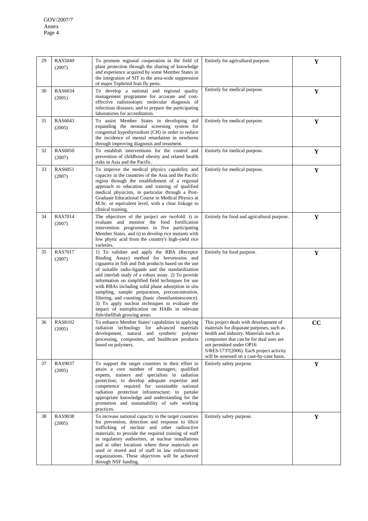| 29 | <b>RAS5049</b><br>(2007) | To promote regional cooperation in the field of<br>plant protection through the sharing of knowledge<br>and experience acquired by some Member States in<br>the integration of SIT to the area-wide suppression<br>of major Tephritid fruit fly pests.                                                                                                                                                                                                                                                                                                                                                              | Entirely for agricultural purpose.                                                                                                                                                                                                                                                            | Y           |
|----|--------------------------|---------------------------------------------------------------------------------------------------------------------------------------------------------------------------------------------------------------------------------------------------------------------------------------------------------------------------------------------------------------------------------------------------------------------------------------------------------------------------------------------------------------------------------------------------------------------------------------------------------------------|-----------------------------------------------------------------------------------------------------------------------------------------------------------------------------------------------------------------------------------------------------------------------------------------------|-------------|
| 30 | <b>RAS6034</b><br>(2001) | To develop a national and regional quality<br>management programme for accurate and cost-<br>effective radioisotopic molecular diagnosis of<br>infectious diseases; and to prepare the participating<br>laboratories for accreditation.                                                                                                                                                                                                                                                                                                                                                                             | Entirely for medical purpose.                                                                                                                                                                                                                                                                 | Y           |
| 31 | RAS6043<br>(2005)        | To assist Member States in developing and<br>expanding the neonatal screening system for<br>congenital hypothyroidism (CH) in order to reduce<br>the incidence of mental retardation in newborns<br>through improving diagnosis and treatment.                                                                                                                                                                                                                                                                                                                                                                      | Entirely for medical purpose.                                                                                                                                                                                                                                                                 | Y           |
| 32 | <b>RAS6050</b><br>(2007) | To establish interventions for the control and<br>prevention of childhood obesity and related health<br>risks in Asia and the Pacific.                                                                                                                                                                                                                                                                                                                                                                                                                                                                              | Entirely for medical purpose.                                                                                                                                                                                                                                                                 | Y           |
| 33 | RAS6051<br>(2007)        | To improve the medical physics capability and<br>capacity in the countries of the Asia and the Pacific<br>region through the establishment of a regional<br>approach to education and training of qualified<br>medical physicists, in particular through a Post-<br>Graduate Educational Course in Medical Physics at<br>M.Sc. or equivalent level, with a clear linkage to<br>clinical training.                                                                                                                                                                                                                   | Entirely for medical purpose.                                                                                                                                                                                                                                                                 | Y           |
| 34 | <b>RAS7014</b><br>(2007) | The objectives of the project are twofold: i) to<br>evaluate and monitor the food fortification<br>intervention programmes in five participating<br>Member States, and ii) to develop rice mutants with<br>low phytic acid from the country's high-yield rice<br>varieties.                                                                                                                                                                                                                                                                                                                                         | Entirely for food and agricultural purpose.                                                                                                                                                                                                                                                   | Y           |
| 35 | <b>RAS7017</b><br>(2007) | 1) To validate and apply the RBA (Receptor<br>Binding Assay) method for brevetoxins and<br>ciguatera in fish and fish products based on the use<br>of suitable radio-ligands and the standardization<br>and interlab study of a robust assay. 2) To provide<br>information on simplified field techniques for use<br>with RBAs including solid phase adsorption in situ<br>sampling, sample preparation, preconcentration,<br>filtering, and counting (basic chemiluminescence).<br>3) To apply nuclear techniques to evaluate the<br>impact of eutrophication on HABs in relevant<br>fish/shellfish growing areas. | Entirely for food purpose.                                                                                                                                                                                                                                                                    | $\mathbf Y$ |
| 36 | RAS8102<br>(2005)        | To enhance Member States' capabilities in applying<br>radiation technology for advanced materials<br>development, natural and synthetic polymer<br>processing, composites, and healthcare products<br>based on polymers.                                                                                                                                                                                                                                                                                                                                                                                            | This project deals with development of<br>materials for disparate purposes, such as<br>health and industry. Materials such as<br>composites that can be for dual uses are<br>not permitted under OP16<br>S/RES/1737(2006). Each project activity<br>will be assessed on a case-by-case basis. | cc          |
| 37 | <b>RAS9037</b><br>(2005) | To support the target countries in their effort to<br>attain a core number of managers, qualified<br>experts, trainers and specialists in radiation<br>protection; to develop adequate expertise and<br>competence required for sustainable national<br>radiation protection infrastructure; to partake<br>appropriate knowledge and understanding for the<br>promotion and sustainability of safe working<br>practices.                                                                                                                                                                                            | Entirely safety purpose.                                                                                                                                                                                                                                                                      | $\mathbf Y$ |
| 38 | <b>RAS9038</b><br>(2005) | To increase national capacity in the target countries<br>for prevention, detection and response to illicit<br>trafficking of nuclear and other radioactive<br>materials; to provide the required training of staff<br>in regulatory authorities, at nuclear installations<br>and at other locations where these materials are<br>used or stored and of staff in law enforcement<br>organizations. These objectives will be achieved<br>through NSF funding.                                                                                                                                                         | Entirely safety purpose.                                                                                                                                                                                                                                                                      | Y           |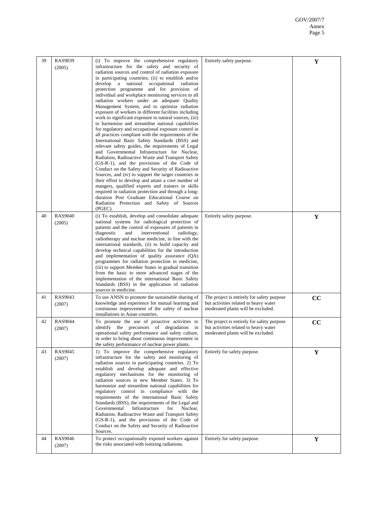| 39 | RAS9039<br>(2005)        | (i) To improve the comprehensive regulatory<br>infrastructure for the safety and security of<br>radiation sources and control of radiation exposure<br>in participating countries; (ii) to establish and/or<br>develop a national<br>occupational<br>radiation<br>protection programme and for provision of<br>individual and workplace monitoring services to all<br>radiation workers under an adequate Quality<br>Management System, and to optimize radiation<br>exposure of workers in different facilities including<br>work to significant exposure to natural sources, (iii)<br>to harmonize and streamline national capabilities<br>for regulatory and occupational exposure control in<br>all practices compliant with the requirements of the<br>International Basic Safety Standards (BSS) and<br>relevant safety guides, the requirements of Legal<br>and Governmental Infrastructure for Nuclear,<br>Radiation, Radioactive Waste and Transport Safety<br>(GS-R-1), and the provisions of the Code of<br>Conduct on the Safety and Security of Radioactive<br>Sources, and (iv) to support the target countries in<br>their effort to develop and attain a core number of<br>mangers, qualified experts and trainers in skills<br>required in radiation protection and through a long-<br>duration Post Graduate Educational Course on<br>Radiation Protection and Safety of Sources<br>(PGEC). | Entirely safety purpose.                                                                                                   | Y           |
|----|--------------------------|---------------------------------------------------------------------------------------------------------------------------------------------------------------------------------------------------------------------------------------------------------------------------------------------------------------------------------------------------------------------------------------------------------------------------------------------------------------------------------------------------------------------------------------------------------------------------------------------------------------------------------------------------------------------------------------------------------------------------------------------------------------------------------------------------------------------------------------------------------------------------------------------------------------------------------------------------------------------------------------------------------------------------------------------------------------------------------------------------------------------------------------------------------------------------------------------------------------------------------------------------------------------------------------------------------------------------------------------------------------------------------------------------------------|----------------------------------------------------------------------------------------------------------------------------|-------------|
| 40 | <b>RAS9040</b><br>(2005) | (i) To establish, develop and consolidate adequate<br>national systems for radiological protection of<br>patients and the control of exposures of patients in<br>diagnostic<br>interventional<br>and<br>radiology,<br>radiotherapy and nuclear medicine, in line with the<br>international standards, (ii) to build capacity and<br>develop technical capabilities for the introduction<br>and implementation of quality assurance (QA)<br>programmes for radiation protection in medicine,<br>(iii) to support Member States in gradual transition<br>from the basic to more advanced stages of the<br>implementation of the international Basic Safety<br>Standards (BSS) in the application of radiation<br>sources in medicine.                                                                                                                                                                                                                                                                                                                                                                                                                                                                                                                                                                                                                                                                           | Entirely safety purpose.                                                                                                   | Y           |
| 41 | RAS9043<br>(2007)        | To use ANSN to promote the sustainable sharing of<br>knowledge and experience for mutual learning and<br>continuous improvement of the safety of nuclear<br>installations in Asian countries.                                                                                                                                                                                                                                                                                                                                                                                                                                                                                                                                                                                                                                                                                                                                                                                                                                                                                                                                                                                                                                                                                                                                                                                                                 | The project is entirely for safety purpose<br>but activities related to heavy water<br>moderated plants will be excluded.  | CC          |
| 42 | <b>RAS9044</b><br>(2007) | To promote the use of proactive activities to<br>identify the precursors of degradation<br>in<br>operational safety performance and safety culture,<br>in order to bring about continuous improvement in<br>the safety performance of nuclear power plants.                                                                                                                                                                                                                                                                                                                                                                                                                                                                                                                                                                                                                                                                                                                                                                                                                                                                                                                                                                                                                                                                                                                                                   | The project is entirely for safety purpose.<br>but activities related to heavy water<br>moderated plants will be excluded. | cc          |
| 43 | <b>RAS9045</b><br>(2007) | 1) To improve the comprehensive regulatory<br>infrastructure for the safety and monitoring of<br>radiation sources in participating countries. 2) To<br>establish and develop adequate and effective<br>regulatory mechanisms for the monitoring of<br>radiation sources in new Member States. 3) To<br>harmonize and streamline national capabilities for<br>regulatory control in compliance with the<br>requirements of the international Basic Safety<br>Standards (BSS), the requirements of the Legal and<br>Governmental<br>Infrastructure<br>Nuclear,<br>for<br>Radiation, Radioactive Waste and Transport Safety<br>(GS-R-1), and the provisions of the Code of<br>Conduct on the Safety and Security of Radioactive<br>Sources.                                                                                                                                                                                                                                                                                                                                                                                                                                                                                                                                                                                                                                                                     | Entirely for safety purpose.                                                                                               | $\mathbf Y$ |
| 44 | <b>RAS9046</b><br>(2007) | To protect occupationally exposed workers against<br>the risks associated with ionizing radiations.                                                                                                                                                                                                                                                                                                                                                                                                                                                                                                                                                                                                                                                                                                                                                                                                                                                                                                                                                                                                                                                                                                                                                                                                                                                                                                           | Entirely for safety purpose.                                                                                               | Y           |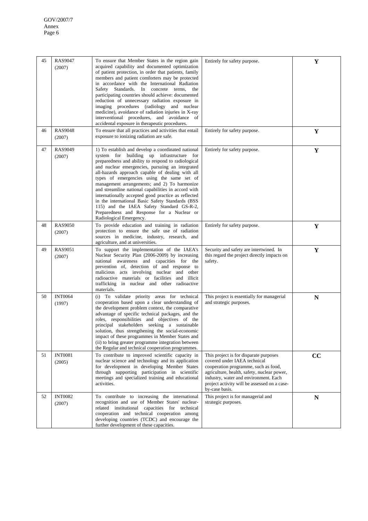| 45 | <b>RAS9047</b><br>(2007) | To ensure that Member States in the region gain<br>acquired capability and documented optimization<br>of patient protection, in order that patients, family<br>members and patient comforters may be protected<br>in accordance with the International Radiation<br>Safety Standards. In concrete terms, the<br>participating countries should achieve: documented<br>reduction of unnecessary radiation exposure in<br>imaging procedures (radiology and nuclear<br>medicine), avoidance of radiation injuries in X-ray<br>interventional procedures, and avoidance of<br>accidental exposure in therapeutic procedures.                           | Entirely for safety purpose.                                                                                                                                                                                                                                             | Y         |
|----|--------------------------|-----------------------------------------------------------------------------------------------------------------------------------------------------------------------------------------------------------------------------------------------------------------------------------------------------------------------------------------------------------------------------------------------------------------------------------------------------------------------------------------------------------------------------------------------------------------------------------------------------------------------------------------------------|--------------------------------------------------------------------------------------------------------------------------------------------------------------------------------------------------------------------------------------------------------------------------|-----------|
| 46 | <b>RAS9048</b><br>(2007) | To ensure that all practices and activities that entail<br>exposure to ionizing radiation are safe.                                                                                                                                                                                                                                                                                                                                                                                                                                                                                                                                                 | Entirely for safety purpose.                                                                                                                                                                                                                                             | Y         |
| 47 | <b>RAS9049</b><br>(2007) | 1) To establish and develop a coordinated national<br>system for building up infrastructure for<br>preparedness and ability to respond to radiological<br>and nuclear emergencies, pursuing an integrated<br>all-hazards approach capable of dealing with all<br>types of emergencies using the same set of<br>management arrangements; and 2) To harmonize<br>and streamline national capabilities in accord with<br>internationally accepted good practice as reflected<br>in the international Basic Safety Standards (BSS<br>115) and the IAEA Safety Standard GS-R-2,<br>Preparedness and Response for a Nuclear or<br>Radiological Emergency. | Entirely for safety purpose.                                                                                                                                                                                                                                             | Y         |
| 48 | <b>RAS9050</b><br>(2007) | To provide education and training in radiation<br>protection to ensure the safe use of radiation<br>sources in medicine, industry, research, and<br>agriculture, and at universities.                                                                                                                                                                                                                                                                                                                                                                                                                                                               | Entirely for safety purpose.                                                                                                                                                                                                                                             | Y         |
| 49 | RAS9051<br>(2007)        | To support the implementation of the IAEA's<br>Nuclear Security Plan (2006-2009) by increasing<br>national awareness and capacities for the<br>prevention of, detection of and response to<br>malicious acts involving nuclear and other<br>radioactive materials or facilities and illicit<br>trafficking in nuclear and other radioactive<br>materials.                                                                                                                                                                                                                                                                                           | Security and safety are intertwined. In<br>this regard the project directly impacts on<br>safety.                                                                                                                                                                        | Y         |
| 50 | <b>INT0064</b><br>(1997) | (i) To validate priority areas for technical<br>cooperation based upon a clear understanding of<br>the development problem context, the comparative<br>advantage of specific technical packages, and the<br>roles, responsibilities and objectives of the<br>principal stakeholders seeking a sustainable<br>solution, thus strengthening the social-economic<br>impact of these programmes in Member States and<br>(ii) to bring greater programme integration between<br>the Regular and technical cooperation programmes.                                                                                                                        | This project is essentially for managerial<br>and strategic purposes.                                                                                                                                                                                                    | ${\bf N}$ |
| 51 | <b>INT0081</b><br>(2005) | To contribute to improved scientific capacity in<br>nuclear science and technology and its application<br>for development in developing Member States<br>through supporting participation in scientific<br>meetings and specialized training and educational<br>activities.                                                                                                                                                                                                                                                                                                                                                                         | This project is for disparate purposes<br>covered under IAEA technical<br>cooperation programme, such as food,<br>agriculture, health, safety, nuclear power,<br>industry, water and environment. Each<br>project activity will be assessed on a case-<br>by-case basis. | cc        |
| 52 | <b>INT0082</b><br>(2007) | To contribute to increasing the international<br>recognition and use of Member States' nuclear-<br>related institutional capacities for technical<br>cooperation and technical cooperation among<br>developing countries (TCDC) and encourage the<br>further development of these capacities.                                                                                                                                                                                                                                                                                                                                                       | This project is for managerial and<br>strategic purposes.                                                                                                                                                                                                                | N         |